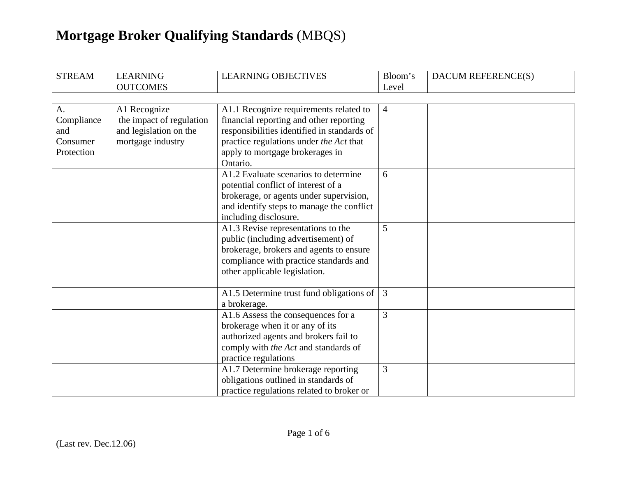| <b>STREAM</b>                                     | <b>LEARNING</b><br><b>OUTCOMES</b>                                                      | <b>LEARNING OBJECTIVES</b>                                                                                                                                                                                                 | Bloom's<br>Level | DACUM REFERENCE(S) |
|---------------------------------------------------|-----------------------------------------------------------------------------------------|----------------------------------------------------------------------------------------------------------------------------------------------------------------------------------------------------------------------------|------------------|--------------------|
|                                                   |                                                                                         |                                                                                                                                                                                                                            |                  |                    |
| A.<br>Compliance<br>and<br>Consumer<br>Protection | A1 Recognize<br>the impact of regulation<br>and legislation on the<br>mortgage industry | A1.1 Recognize requirements related to<br>financial reporting and other reporting<br>responsibilities identified in standards of<br>practice regulations under the Act that<br>apply to mortgage brokerages in<br>Ontario. | $\overline{4}$   |                    |
|                                                   |                                                                                         | A1.2 Evaluate scenarios to determine<br>potential conflict of interest of a<br>brokerage, or agents under supervision,<br>and identify steps to manage the conflict<br>including disclosure.                               | 6                |                    |
|                                                   |                                                                                         | A1.3 Revise representations to the<br>public (including advertisement) of<br>brokerage, brokers and agents to ensure<br>compliance with practice standards and<br>other applicable legislation.                            | 5                |                    |
|                                                   |                                                                                         | A1.5 Determine trust fund obligations of<br>a brokerage.                                                                                                                                                                   | $\overline{3}$   |                    |
|                                                   |                                                                                         | A1.6 Assess the consequences for a<br>brokerage when it or any of its<br>authorized agents and brokers fail to<br>comply with the Act and standards of<br>practice regulations                                             | 3                |                    |
|                                                   |                                                                                         | A1.7 Determine brokerage reporting<br>obligations outlined in standards of<br>practice regulations related to broker or                                                                                                    | 3                |                    |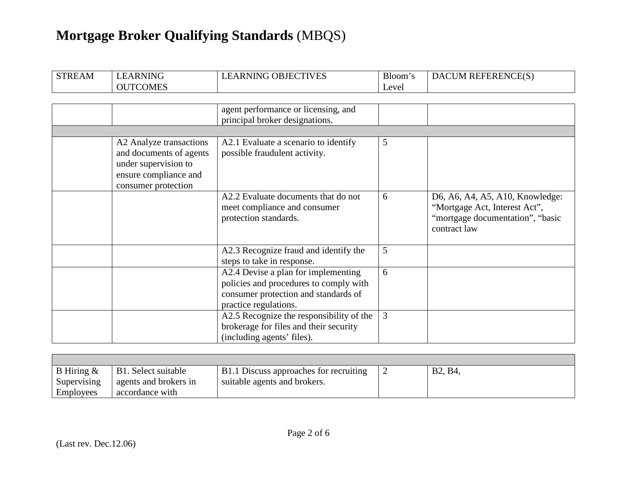| <b>STREAM</b> | <b>LEARNING</b><br><b>OUTCOMES</b>                                                                                         | <b>LEARNING OBJECTIVES</b>                                                                                                                     | Bloom's<br>Level | <b>DACUM REFERENCE(S)</b>                                                                                            |
|---------------|----------------------------------------------------------------------------------------------------------------------------|------------------------------------------------------------------------------------------------------------------------------------------------|------------------|----------------------------------------------------------------------------------------------------------------------|
|               |                                                                                                                            |                                                                                                                                                |                  |                                                                                                                      |
|               |                                                                                                                            | agent performance or licensing, and<br>principal broker designations.                                                                          |                  |                                                                                                                      |
|               |                                                                                                                            |                                                                                                                                                |                  |                                                                                                                      |
|               | A2 Analyze transactions<br>and documents of agents<br>under supervision to<br>ensure compliance and<br>consumer protection | A2.1 Evaluate a scenario to identify<br>possible fraudulent activity.                                                                          | 5                |                                                                                                                      |
|               |                                                                                                                            | A2.2 Evaluate documents that do not<br>meet compliance and consumer<br>protection standards.                                                   | 6                | D6, A6, A4, A5, A10, Knowledge:<br>"Mortgage Act, Interest Act",<br>"mortgage documentation", "basic<br>contract law |
|               |                                                                                                                            | A2.3 Recognize fraud and identify the<br>steps to take in response.                                                                            | 5                |                                                                                                                      |
|               |                                                                                                                            | A2.4 Devise a plan for implementing<br>policies and procedures to comply with<br>consumer protection and standards of<br>practice regulations. | 6                |                                                                                                                      |
|               |                                                                                                                            | A2.5 Recognize the responsibility of the<br>brokerage for files and their security<br>(including agents' files).                               | 3                |                                                                                                                      |

| B Hiring &  | B1. Select suitable   | B1.1 Discuss approaches for recruiting | B <sub>2</sub> , B <sub>4</sub> |
|-------------|-----------------------|----------------------------------------|---------------------------------|
| Supervising | agents and brokers in | suitable agents and brokers.           |                                 |
| Employees   | accordance with       |                                        |                                 |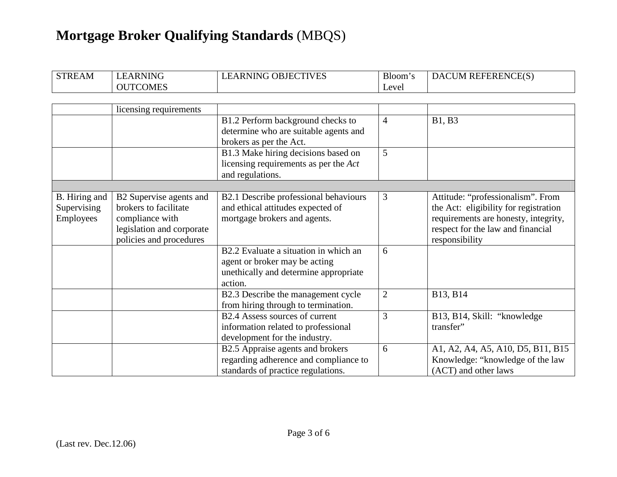| <b>STREAM</b> | <b>LEARNING</b>           | <b>LEARNING OBJECTIVES</b>            | Bloom's        | DACUM REFERENCE(S)                    |
|---------------|---------------------------|---------------------------------------|----------------|---------------------------------------|
|               | <b>OUTCOMES</b>           |                                       | Level          |                                       |
|               |                           |                                       |                |                                       |
|               | licensing requirements    |                                       |                |                                       |
|               |                           | B1.2 Perform background checks to     | $\overline{4}$ | <b>B1, B3</b>                         |
|               |                           | determine who are suitable agents and |                |                                       |
|               |                           | brokers as per the Act.               |                |                                       |
|               |                           | B1.3 Make hiring decisions based on   | 5              |                                       |
|               |                           | licensing requirements as per the Act |                |                                       |
|               |                           | and regulations.                      |                |                                       |
|               |                           |                                       |                |                                       |
| B. Hiring and | B2 Supervise agents and   | B2.1 Describe professional behaviours | 3              | Attitude: "professionalism". From     |
| Supervising   | brokers to facilitate     | and ethical attitudes expected of     |                | the Act: eligibility for registration |
| Employees     | compliance with           | mortgage brokers and agents.          |                | requirements are honesty, integrity,  |
|               | legislation and corporate |                                       |                | respect for the law and financial     |
|               | policies and procedures   |                                       |                | responsibility                        |
|               |                           | B2.2 Evaluate a situation in which an | 6              |                                       |
|               |                           | agent or broker may be acting         |                |                                       |
|               |                           | unethically and determine appropriate |                |                                       |
|               |                           | action.                               |                |                                       |
|               |                           | B2.3 Describe the management cycle    | $\overline{2}$ | B13, B14                              |
|               |                           | from hiring through to termination.   |                |                                       |
|               |                           | B2.4 Assess sources of current        | 3              | B13, B14, Skill: "knowledge           |
|               |                           | information related to professional   |                | transfer"                             |
|               |                           | development for the industry.         |                |                                       |
|               |                           | B2.5 Appraise agents and brokers      | 6              | A1, A2, A4, A5, A10, D5, B11, B15     |
|               |                           | regarding adherence and compliance to |                | Knowledge: "knowledge of the law      |
|               |                           | standards of practice regulations.    |                | (ACT) and other laws                  |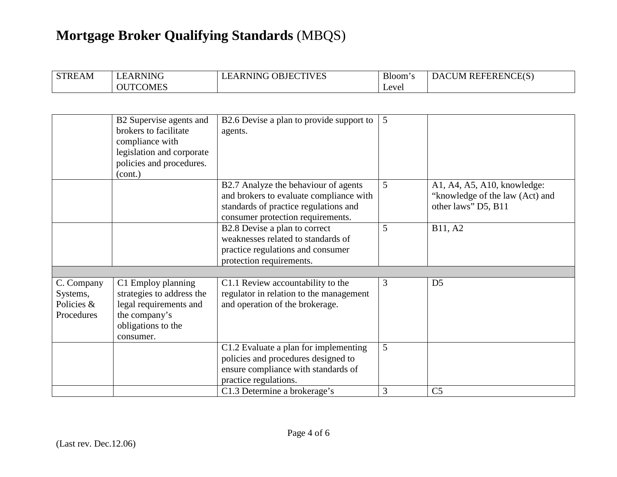| <b>STREAM</b> | LEARNING        | <b>LEARNING OBJECTIVES</b> | <b>Bloom</b> | DACUM REFERENCE(S) |
|---------------|-----------------|----------------------------|--------------|--------------------|
|               | <b>OUTCOMES</b> |                            | Level        |                    |

|                                                    | B2 Supervise agents and<br>brokers to facilitate<br>compliance with<br>legislation and corporate<br>policies and procedures.<br>(cont.) | B2.6 Devise a plan to provide support to<br>agents.                                                                                                                          | 5      |                                                                                       |
|----------------------------------------------------|-----------------------------------------------------------------------------------------------------------------------------------------|------------------------------------------------------------------------------------------------------------------------------------------------------------------------------|--------|---------------------------------------------------------------------------------------|
|                                                    |                                                                                                                                         | B2.7 Analyze the behaviour of agents<br>and brokers to evaluate compliance with<br>standards of practice regulations and<br>consumer protection requirements.                | 5      | A1, A4, A5, A10, knowledge:<br>"knowledge of the law (Act) and<br>other laws" D5, B11 |
|                                                    |                                                                                                                                         | B2.8 Devise a plan to correct<br>weaknesses related to standards of<br>practice regulations and consumer<br>protection requirements.                                         | 5      | B11, A2                                                                               |
| C. Company<br>Systems,<br>Policies &<br>Procedures | C1 Employ planning<br>strategies to address the<br>legal requirements and<br>the company's<br>obligations to the<br>consumer.           | C1.1 Review accountability to the<br>regulator in relation to the management<br>and operation of the brokerage.                                                              | 3      | D <sub>5</sub>                                                                        |
|                                                    |                                                                                                                                         | C1.2 Evaluate a plan for implementing<br>policies and procedures designed to<br>ensure compliance with standards of<br>practice regulations.<br>C1.3 Determine a brokerage's | 5<br>3 | C <sub>5</sub>                                                                        |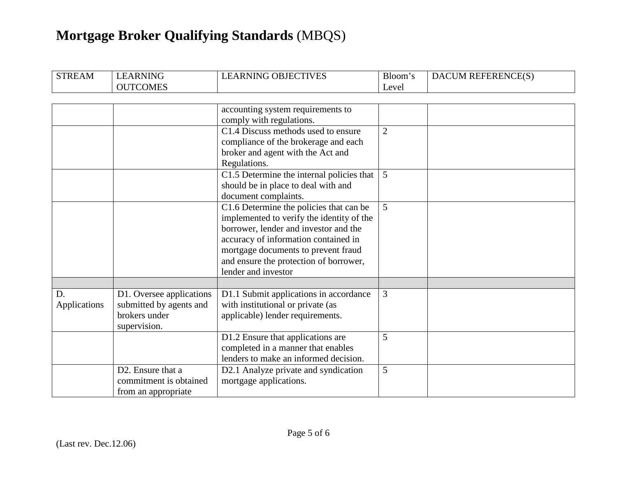| <b>STREAM</b> | <b>LEARNING</b>                | <b>LEARNING OBJECTIVES</b>                | Bloom's        | DACUM REFERENCE(S) |
|---------------|--------------------------------|-------------------------------------------|----------------|--------------------|
|               | <b>OUTCOMES</b>                |                                           | Level          |                    |
|               |                                |                                           |                |                    |
|               |                                | accounting system requirements to         |                |                    |
|               |                                | comply with regulations.                  |                |                    |
|               |                                | C1.4 Discuss methods used to ensure       | $\overline{2}$ |                    |
|               |                                | compliance of the brokerage and each      |                |                    |
|               |                                | broker and agent with the Act and         |                |                    |
|               |                                | Regulations.                              |                |                    |
|               |                                | C1.5 Determine the internal policies that | $\overline{5}$ |                    |
|               |                                | should be in place to deal with and       |                |                    |
|               |                                | document complaints.                      |                |                    |
|               |                                | C1.6 Determine the policies that can be   | 5              |                    |
|               |                                | implemented to verify the identity of the |                |                    |
|               |                                | borrower, lender and investor and the     |                |                    |
|               |                                | accuracy of information contained in      |                |                    |
|               |                                | mortgage documents to prevent fraud       |                |                    |
|               |                                | and ensure the protection of borrower,    |                |                    |
|               |                                | lender and investor                       |                |                    |
|               |                                |                                           |                |                    |
| D.            | D1. Oversee applications       | D1.1 Submit applications in accordance    | 3              |                    |
| Applications  | submitted by agents and        | with institutional or private (as         |                |                    |
|               | brokers under                  | applicable) lender requirements.          |                |                    |
|               | supervision.                   |                                           |                |                    |
|               |                                | D1.2 Ensure that applications are         | 5              |                    |
|               |                                | completed in a manner that enables        |                |                    |
|               |                                | lenders to make an informed decision.     |                |                    |
|               | D <sub>2</sub> . Ensure that a | D2.1 Analyze private and syndication      | 5              |                    |
|               | commitment is obtained         | mortgage applications.                    |                |                    |
|               | from an appropriate            |                                           |                |                    |